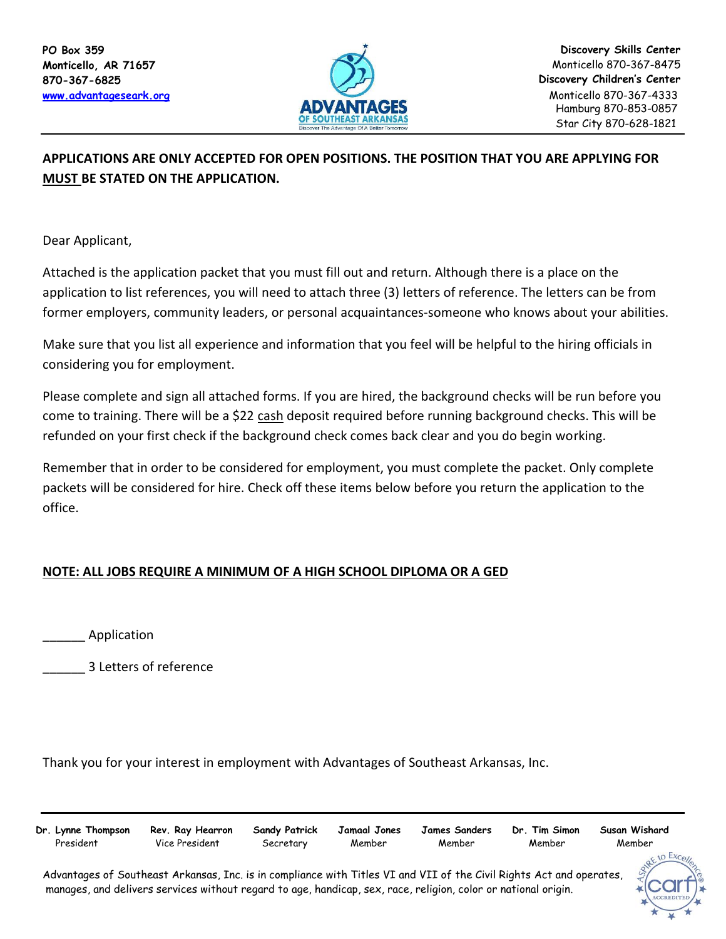

## **APPLICATIONS ARE ONLY ACCEPTED FOR OPEN POSITIONS. THE POSITION THAT YOU ARE APPLYING FOR MUST BE STATED ON THE APPLICATION.**

Dear Applicant,

Attached is the application packet that you must fill out and return. Although there is a place on the application to list references, you will need to attach three (3) letters of reference. The letters can be from former employers, community leaders, or personal acquaintances-someone who knows about your abilities.

Make sure that you list all experience and information that you feel will be helpful to the hiring officials in considering you for employment.

Please complete and sign all attached forms. If you are hired, the background checks will be run before you come to training. There will be a \$22 cash deposit required before running background checks. This will be refunded on your first check if the background check comes back clear and you do begin working.

Remember that in order to be considered for employment, you must complete the packet. Only complete packets will be considered for hire. Check off these items below before you return the application to the office.

## **NOTE: ALL JOBS REQUIRE A MINIMUM OF A HIGH SCHOOL DIPLOMA OR A GED**

\_\_\_\_\_\_ Application

\_\_\_\_\_\_ 3 Letters of reference

Thank you for your interest in employment with Advantages of Southeast Arkansas, Inc.

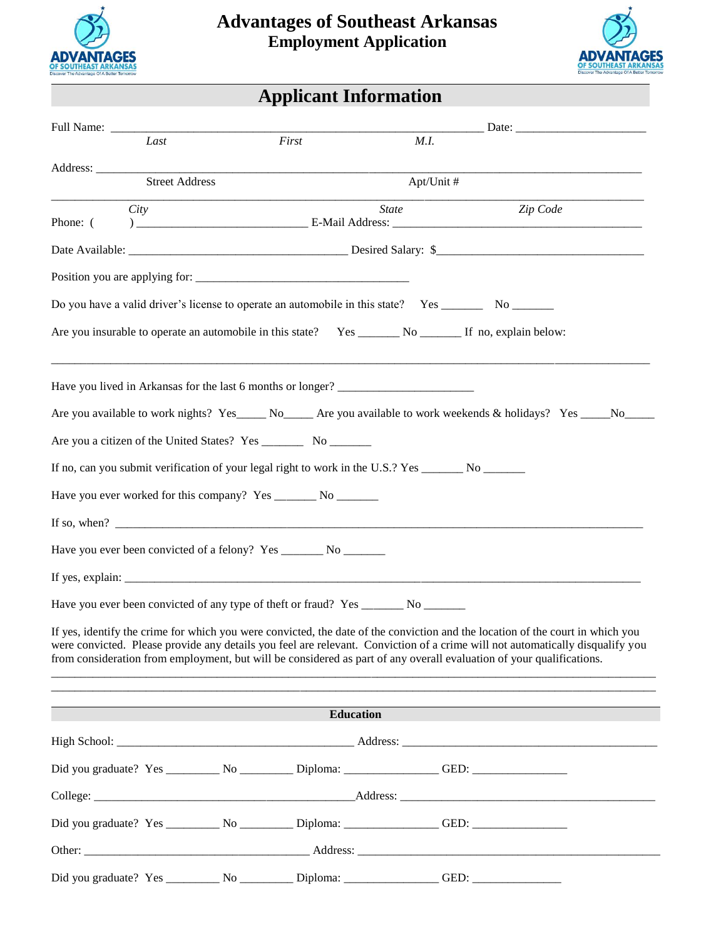



| <b>Applicant Information</b> |  |
|------------------------------|--|
|                              |  |

| Last                              | First                                                                                                                | M.I.         |                                                                                                                                                                                                                                                                 |
|-----------------------------------|----------------------------------------------------------------------------------------------------------------------|--------------|-----------------------------------------------------------------------------------------------------------------------------------------------------------------------------------------------------------------------------------------------------------------|
| Address:<br><b>Street Address</b> |                                                                                                                      |              |                                                                                                                                                                                                                                                                 |
|                                   |                                                                                                                      | Apt/Unit #   |                                                                                                                                                                                                                                                                 |
| City<br>Phone: (                  |                                                                                                                      | <b>State</b> | Zip Code                                                                                                                                                                                                                                                        |
|                                   |                                                                                                                      |              |                                                                                                                                                                                                                                                                 |
|                                   |                                                                                                                      |              |                                                                                                                                                                                                                                                                 |
|                                   | Do you have a valid driver's license to operate an automobile in this state? Yes _________ No _______                |              |                                                                                                                                                                                                                                                                 |
|                                   |                                                                                                                      |              |                                                                                                                                                                                                                                                                 |
|                                   | Have you lived in Arkansas for the last 6 months or longer? _____________________                                    |              |                                                                                                                                                                                                                                                                 |
|                                   |                                                                                                                      |              | Are you available to work nights? Yes ______ No_______ Are you available to work weekends & holidays? Yes ______ No______                                                                                                                                       |
|                                   |                                                                                                                      |              |                                                                                                                                                                                                                                                                 |
|                                   | If no, can you submit verification of your legal right to work in the U.S.? Yes ________ No _______                  |              |                                                                                                                                                                                                                                                                 |
|                                   | Have you ever worked for this company? Yes _______ No _______                                                        |              |                                                                                                                                                                                                                                                                 |
|                                   | If so, when? $\qquad \qquad$                                                                                         |              |                                                                                                                                                                                                                                                                 |
|                                   | Have you ever been convicted of a felony? Yes ________ No _______                                                    |              |                                                                                                                                                                                                                                                                 |
|                                   |                                                                                                                      |              |                                                                                                                                                                                                                                                                 |
|                                   |                                                                                                                      |              |                                                                                                                                                                                                                                                                 |
|                                   | from consideration from employment, but will be considered as part of any overall evaluation of your qualifications. |              | If yes, identify the crime for which you were convicted, the date of the conviction and the location of the court in which you<br>were convicted. Please provide any details you feel are relevant. Conviction of a crime will not automatically disqualify you |
|                                   | <b>Education</b>                                                                                                     |              |                                                                                                                                                                                                                                                                 |
|                                   |                                                                                                                      |              |                                                                                                                                                                                                                                                                 |
|                                   | Did you graduate? Yes ________________________________Diploma: ______________________GED: ____________________       |              |                                                                                                                                                                                                                                                                 |
|                                   |                                                                                                                      |              |                                                                                                                                                                                                                                                                 |
|                                   |                                                                                                                      |              |                                                                                                                                                                                                                                                                 |
|                                   |                                                                                                                      |              |                                                                                                                                                                                                                                                                 |
|                                   | Did you graduate? Yes ________________________________Diploma: ______________________GED: ____________________       |              |                                                                                                                                                                                                                                                                 |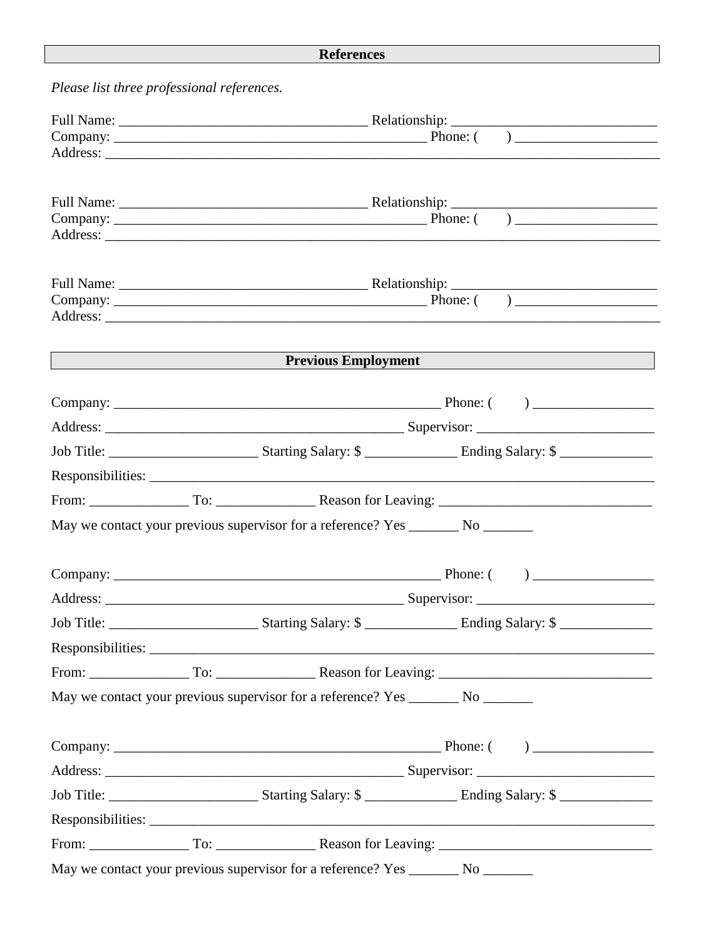## **References**

| Please list three professional references.                                  |  |                                                                                  |                                                                                  |  |  |
|-----------------------------------------------------------------------------|--|----------------------------------------------------------------------------------|----------------------------------------------------------------------------------|--|--|
|                                                                             |  |                                                                                  |                                                                                  |  |  |
|                                                                             |  |                                                                                  |                                                                                  |  |  |
|                                                                             |  |                                                                                  |                                                                                  |  |  |
|                                                                             |  |                                                                                  |                                                                                  |  |  |
|                                                                             |  |                                                                                  |                                                                                  |  |  |
|                                                                             |  |                                                                                  |                                                                                  |  |  |
|                                                                             |  |                                                                                  |                                                                                  |  |  |
|                                                                             |  |                                                                                  |                                                                                  |  |  |
|                                                                             |  |                                                                                  |                                                                                  |  |  |
|                                                                             |  |                                                                                  |                                                                                  |  |  |
|                                                                             |  |                                                                                  |                                                                                  |  |  |
| Previous Employment<br><u> 1989 - Johann Stoff, Amerikaansk politiker (</u> |  |                                                                                  |                                                                                  |  |  |
|                                                                             |  |                                                                                  |                                                                                  |  |  |
|                                                                             |  |                                                                                  |                                                                                  |  |  |
|                                                                             |  |                                                                                  |                                                                                  |  |  |
|                                                                             |  |                                                                                  |                                                                                  |  |  |
|                                                                             |  |                                                                                  |                                                                                  |  |  |
|                                                                             |  |                                                                                  |                                                                                  |  |  |
|                                                                             |  | May we contact your previous supervisor for a reference? Yes _______ No _______  |                                                                                  |  |  |
|                                                                             |  |                                                                                  |                                                                                  |  |  |
|                                                                             |  |                                                                                  |                                                                                  |  |  |
| Address:                                                                    |  |                                                                                  | Supervisor:                                                                      |  |  |
|                                                                             |  |                                                                                  |                                                                                  |  |  |
|                                                                             |  |                                                                                  |                                                                                  |  |  |
|                                                                             |  |                                                                                  |                                                                                  |  |  |
|                                                                             |  | May we contact your previous supervisor for a reference? Yes ________ No _______ |                                                                                  |  |  |
|                                                                             |  |                                                                                  |                                                                                  |  |  |
|                                                                             |  |                                                                                  |                                                                                  |  |  |
|                                                                             |  |                                                                                  |                                                                                  |  |  |
|                                                                             |  |                                                                                  |                                                                                  |  |  |
|                                                                             |  |                                                                                  |                                                                                  |  |  |
|                                                                             |  |                                                                                  |                                                                                  |  |  |
|                                                                             |  |                                                                                  | May we contact your previous supervisor for a reference? Yes ________ No _______ |  |  |